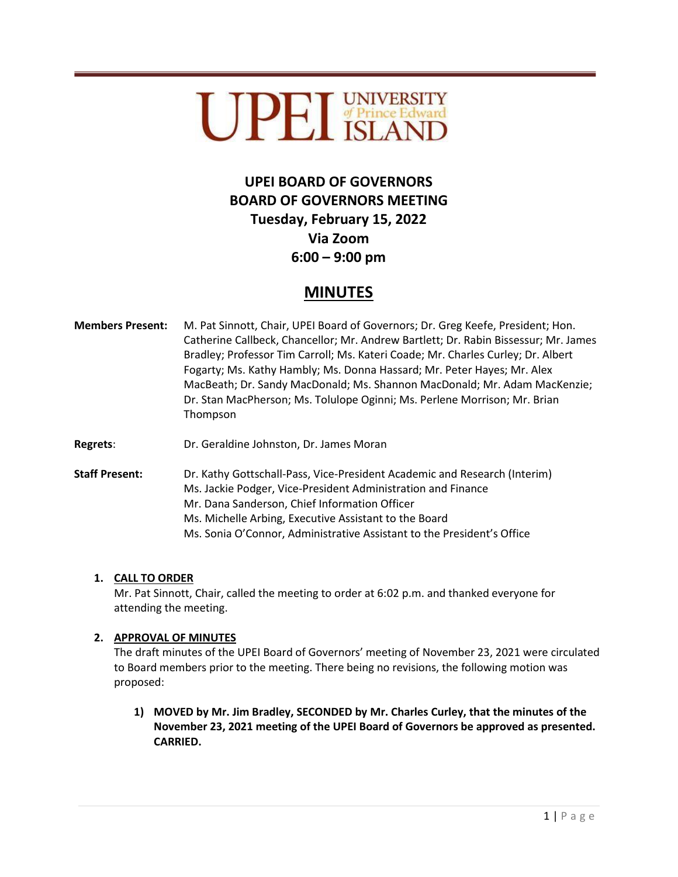

# **UPEI BOARD OF GOVERNORS BOARD OF GOVERNORS MEETING Tuesday, February 15, 2022 Via Zoom 6:00 – 9:00 pm**

## **MINUTES**

- **Members Present:** M. Pat Sinnott, Chair, UPEI Board of Governors; Dr. Greg Keefe, President; Hon. Catherine Callbeck, Chancellor; Mr. Andrew Bartlett; Dr. Rabin Bissessur; Mr. James Bradley; Professor Tim Carroll; Ms. Kateri Coade; Mr. Charles Curley; Dr. Albert Fogarty; Ms. Kathy Hambly; Ms. Donna Hassard; Mr. Peter Hayes; Mr. Alex MacBeath; Dr. Sandy MacDonald; Ms. Shannon MacDonald; Mr. Adam MacKenzie; Dr. Stan MacPherson; Ms. Tolulope Oginni; Ms. Perlene Morrison; Mr. Brian Thompson
- **Regrets**: Dr. Geraldine Johnston, Dr. James Moran

**Staff Present:** Dr. Kathy Gottschall-Pass, Vice-President Academic and Research (Interim) Ms. Jackie Podger, Vice-President Administration and Finance Mr. Dana Sanderson, Chief Information Officer Ms. Michelle Arbing, Executive Assistant to the Board Ms. Sonia O'Connor, Administrative Assistant to the President's Office

## **1. CALL TO ORDER**

Mr. Pat Sinnott, Chair, called the meeting to order at 6:02 p.m. and thanked everyone for attending the meeting.

## **2. APPROVAL OF MINUTES**

The draft minutes of the UPEI Board of Governors' meeting of November 23, 2021 were circulated to Board members prior to the meeting. There being no revisions, the following motion was proposed:

**1) MOVED by Mr. Jim Bradley, SECONDED by Mr. Charles Curley, that the minutes of the November 23, 2021 meeting of the UPEI Board of Governors be approved as presented. CARRIED.**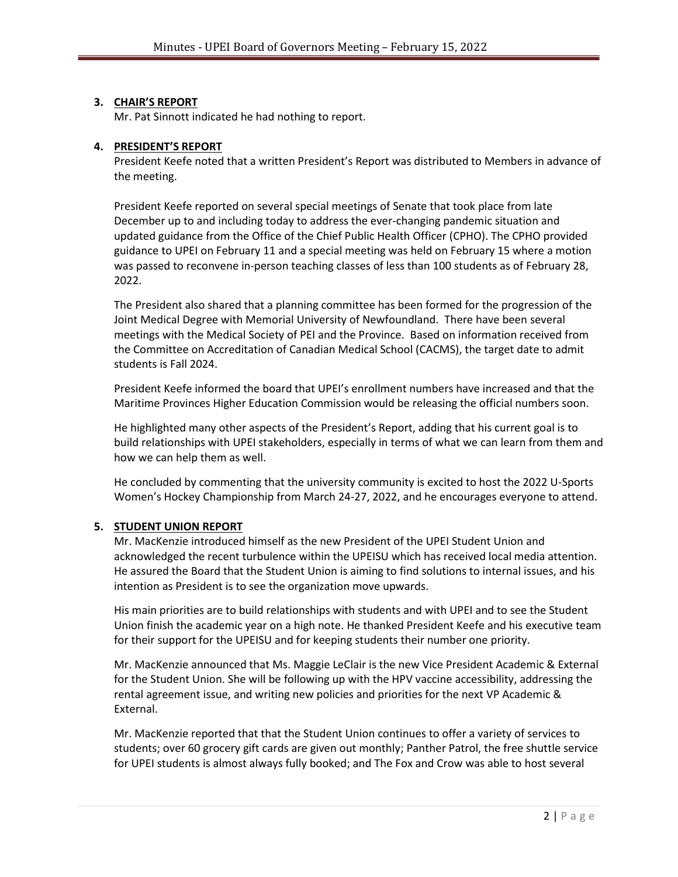## **3. CHAIR'S REPORT**

Mr. Pat Sinnott indicated he had nothing to report.

## **4. PRESIDENT'S REPORT**

President Keefe noted that a written President's Report was distributed to Members in advance of the meeting.

President Keefe reported on several special meetings of Senate that took place from late December up to and including today to address the ever-changing pandemic situation and updated guidance from the Office of the Chief Public Health Officer (CPHO). The CPHO provided guidance to UPEI on February 11 and a special meeting was held on February 15 where a motion was passed to reconvene in-person teaching classes of less than 100 students as of February 28, 2022.

The President also shared that a planning committee has been formed for the progression of the Joint Medical Degree with Memorial University of Newfoundland. There have been several meetings with the Medical Society of PEI and the Province. Based on information received from the Committee on Accreditation of Canadian Medical School (CACMS), the target date to admit students is Fall 2024.

President Keefe informed the board that UPEI's enrollment numbers have increased and that the Maritime Provinces Higher Education Commission would be releasing the official numbers soon.

He highlighted many other aspects of the President's Report, adding that his current goal is to build relationships with UPEI stakeholders, especially in terms of what we can learn from them and how we can help them as well.

He concluded by commenting that the university community is excited to host the 2022 U-Sports Women's Hockey Championship from March 24-27, 2022, and he encourages everyone to attend.

## **5. STUDENT UNION REPORT**

Mr. MacKenzie introduced himself as the new President of the UPEI Student Union and acknowledged the recent turbulence within the UPEISU which has received local media attention. He assured the Board that the Student Union is aiming to find solutions to internal issues, and his intention as President is to see the organization move upwards.

His main priorities are to build relationships with students and with UPEI and to see the Student Union finish the academic year on a high note. He thanked President Keefe and his executive team for their support for the UPEISU and for keeping students their number one priority.

Mr. MacKenzie announced that Ms. Maggie LeClair is the new Vice President Academic & External for the Student Union. She will be following up with the HPV vaccine accessibility, addressing the rental agreement issue, and writing new policies and priorities for the next VP Academic & External.

Mr. MacKenzie reported that that the Student Union continues to offer a variety of services to students; over 60 grocery gift cards are given out monthly; Panther Patrol, the free shuttle service for UPEI students is almost always fully booked; and The Fox and Crow was able to host several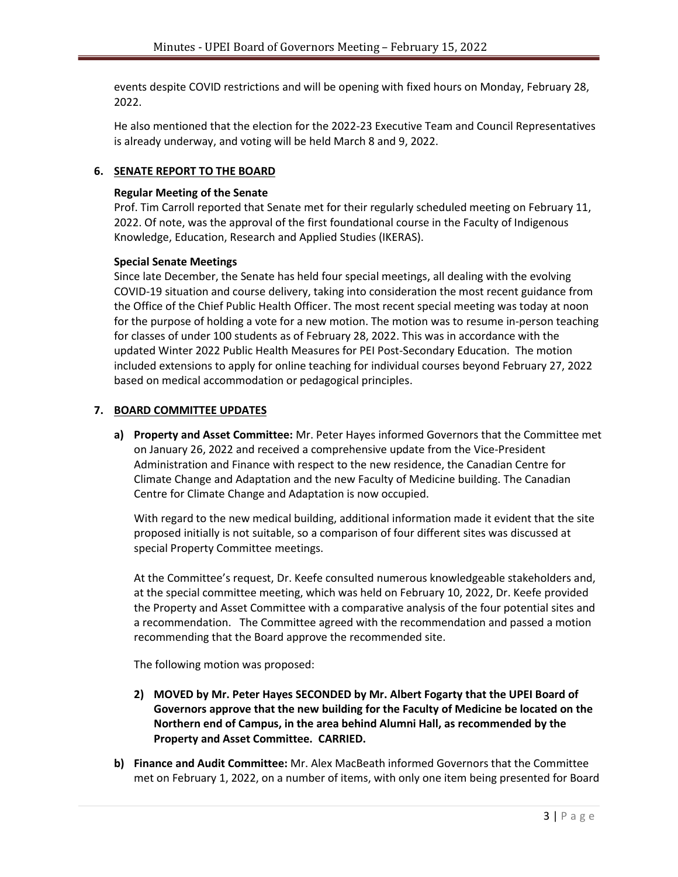events despite COVID restrictions and will be opening with fixed hours on Monday, February 28, 2022.

He also mentioned that the election for the 2022-23 Executive Team and Council Representatives is already underway, and voting will be held March 8 and 9, 2022.

#### **6. SENATE REPORT TO THE BOARD**

#### **Regular Meeting of the Senate**

Prof. Tim Carroll reported that Senate met for their regularly scheduled meeting on February 11, 2022. Of note, was the approval of the first foundational course in the Faculty of Indigenous Knowledge, Education, Research and Applied Studies (IKERAS).

#### **Special Senate Meetings**

Since late December, the Senate has held four special meetings, all dealing with the evolving COVID-19 situation and course delivery, taking into consideration the most recent guidance from the Office of the Chief Public Health Officer. The most recent special meeting was today at noon for the purpose of holding a vote for a new motion. The motion was to resume in-person teaching for classes of under 100 students as of February 28, 2022. This was in accordance with the updated Winter 2022 Public Health Measures for PEI Post-Secondary Education. The motion included extensions to apply for online teaching for individual courses beyond February 27, 2022 based on medical accommodation or pedagogical principles.

#### **7. BOARD COMMITTEE UPDATES**

**a) Property and Asset Committee:** Mr. Peter Hayes informed Governors that the Committee met on January 26, 2022 and received a comprehensive update from the Vice-President Administration and Finance with respect to the new residence, the Canadian Centre for Climate Change and Adaptation and the new Faculty of Medicine building. The Canadian Centre for Climate Change and Adaptation is now occupied.

With regard to the new medical building, additional information made it evident that the site proposed initially is not suitable, so a comparison of four different sites was discussed at special Property Committee meetings.

At the Committee's request, Dr. Keefe consulted numerous knowledgeable stakeholders and, at the special committee meeting, which was held on February 10, 2022, Dr. Keefe provided the Property and Asset Committee with a comparative analysis of the four potential sites and a recommendation. The Committee agreed with the recommendation and passed a motion recommending that the Board approve the recommended site.

The following motion was proposed:

- **2) MOVED by Mr. Peter Hayes SECONDED by Mr. Albert Fogarty that the UPEI Board of Governors approve that the new building for the Faculty of Medicine be located on the Northern end of Campus, in the area behind Alumni Hall, as recommended by the Property and Asset Committee. CARRIED.**
- **b) Finance and Audit Committee:** Mr. Alex MacBeath informed Governors that the Committee met on February 1, 2022, on a number of items, with only one item being presented for Board